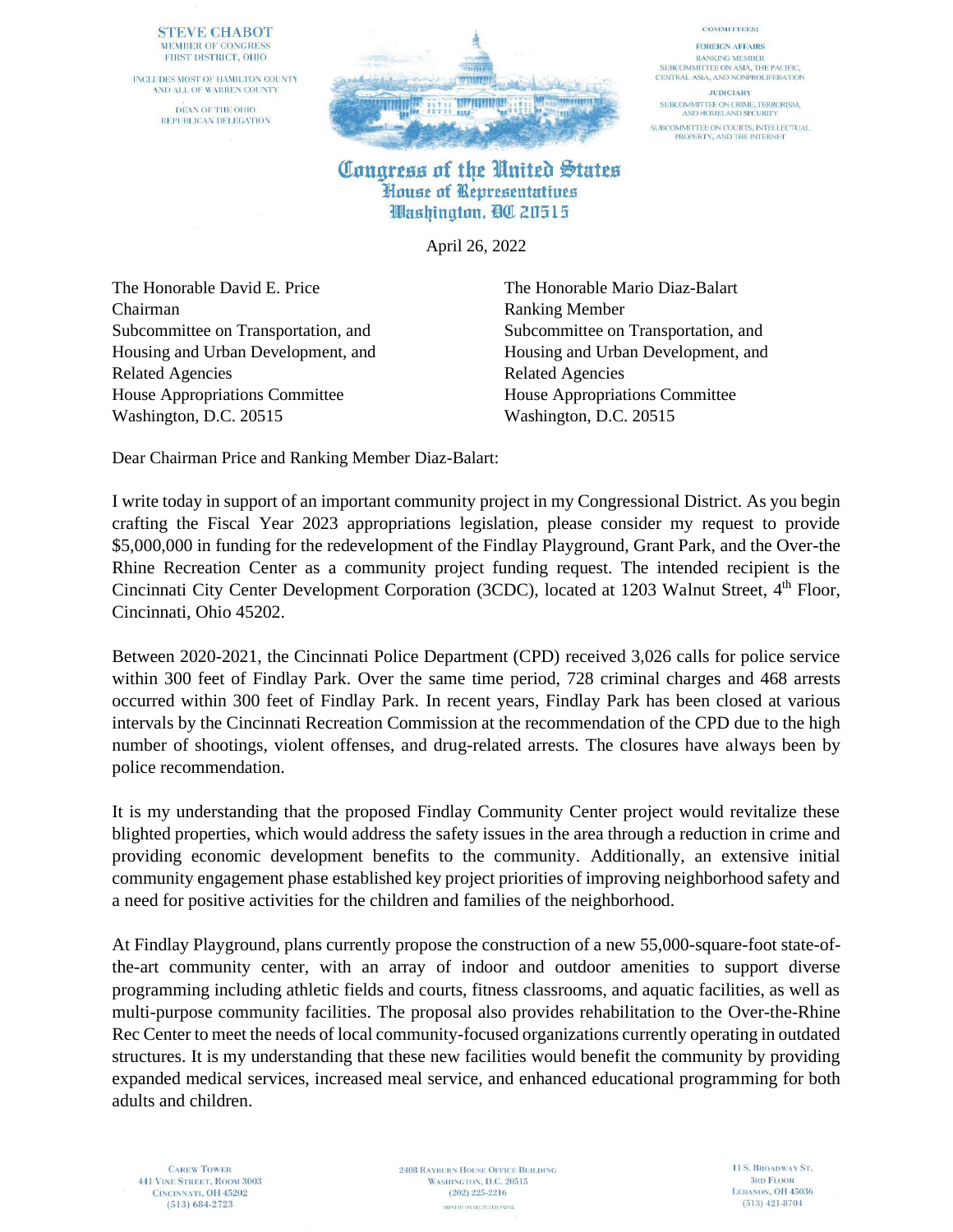### **STEVE CHABOT** MEMBER OF CONGRESS FIRST DISTRICT, OHIO

INCLUDES MOST OF HAMILTON COUNTY AND ALL OF WARREN COUNTY DEAN OF THE OHIO REPUBLICAN DELEGATION



#### **COMMITTEES: FOREIGN AFFAIRS RANKING MEMBER** SUBCOMMITTEE ON ASIA, THE PACIFIC, CENTRAL ASIA, AND NONPROLIFERATION

**JUDICIARY** SUBCOMMITTEE ON CRIME, TERRORISM,<br>AND HOMELAND SECURITY SUBCOMMITTEE ON COURTS, INTELLECTUAL<br>PROPERTY, AND THE INTERNET

## Congress of the United States House of Representatives Washington, BC 20515

April 26, 2022

The Honorable David E. Price The Honorable Mario Diaz-Balart Chairman Ranking Member Related Agencies Related Agencies House Appropriations Committee House Appropriations Committee Washington, D.C. 20515 Washington, D.C. 20515

Subcommittee on Transportation, and Subcommittee on Transportation, and Housing and Urban Development, and Housing and Urban Development, and

Dear Chairman Price and Ranking Member Diaz-Balart:

I write today in support of an important community project in my Congressional District. As you begin crafting the Fiscal Year 2023 appropriations legislation, please consider my request to provide \$5,000,000 in funding for the redevelopment of the Findlay Playground, Grant Park, and the Over-the Rhine Recreation Center as a community project funding request. The intended recipient is the Cincinnati City Center Development Corporation (3CDC), located at 1203 Walnut Street, 4<sup>th</sup> Floor, Cincinnati, Ohio 45202.

Between 2020-2021, the Cincinnati Police Department (CPD) received 3,026 calls for police service within 300 feet of Findlay Park. Over the same time period, 728 criminal charges and 468 arrests occurred within 300 feet of Findlay Park. In recent years, Findlay Park has been closed at various intervals by the Cincinnati Recreation Commission at the recommendation of the CPD due to the high number of shootings, violent offenses, and drug-related arrests. The closures have always been by police recommendation.

It is my understanding that the proposed Findlay Community Center project would revitalize these blighted properties, which would address the safety issues in the area through a reduction in crime and providing economic development benefits to the community. Additionally, an extensive initial community engagement phase established key project priorities of improving neighborhood safety and a need for positive activities for the children and families of the neighborhood.

At Findlay Playground, plans currently propose the construction of a new 55,000-square-foot state-ofthe-art community center, with an array of indoor and outdoor amenities to support diverse programming including athletic fields and courts, fitness classrooms, and aquatic facilities, as well as multi-purpose community facilities. The proposal also provides rehabilitation to the Over-the-Rhine Rec Center to meet the needs of local community-focused organizations currently operating in outdated structures. It is my understanding that these new facilities would benefit the community by providing expanded medical services, increased meal service, and enhanced educational programming for both adults and children.

**2408 RAYBURN HOUSE OFFICE BUILDING** WASHINGTON, D.C. 20515  $(202)$  225-2216 PRINTED ON RECYCLED PAPER.

11 S. BROADWAY ST. **3RD FLOOR** LEBANON, OH 45036  $(513)$  421-8704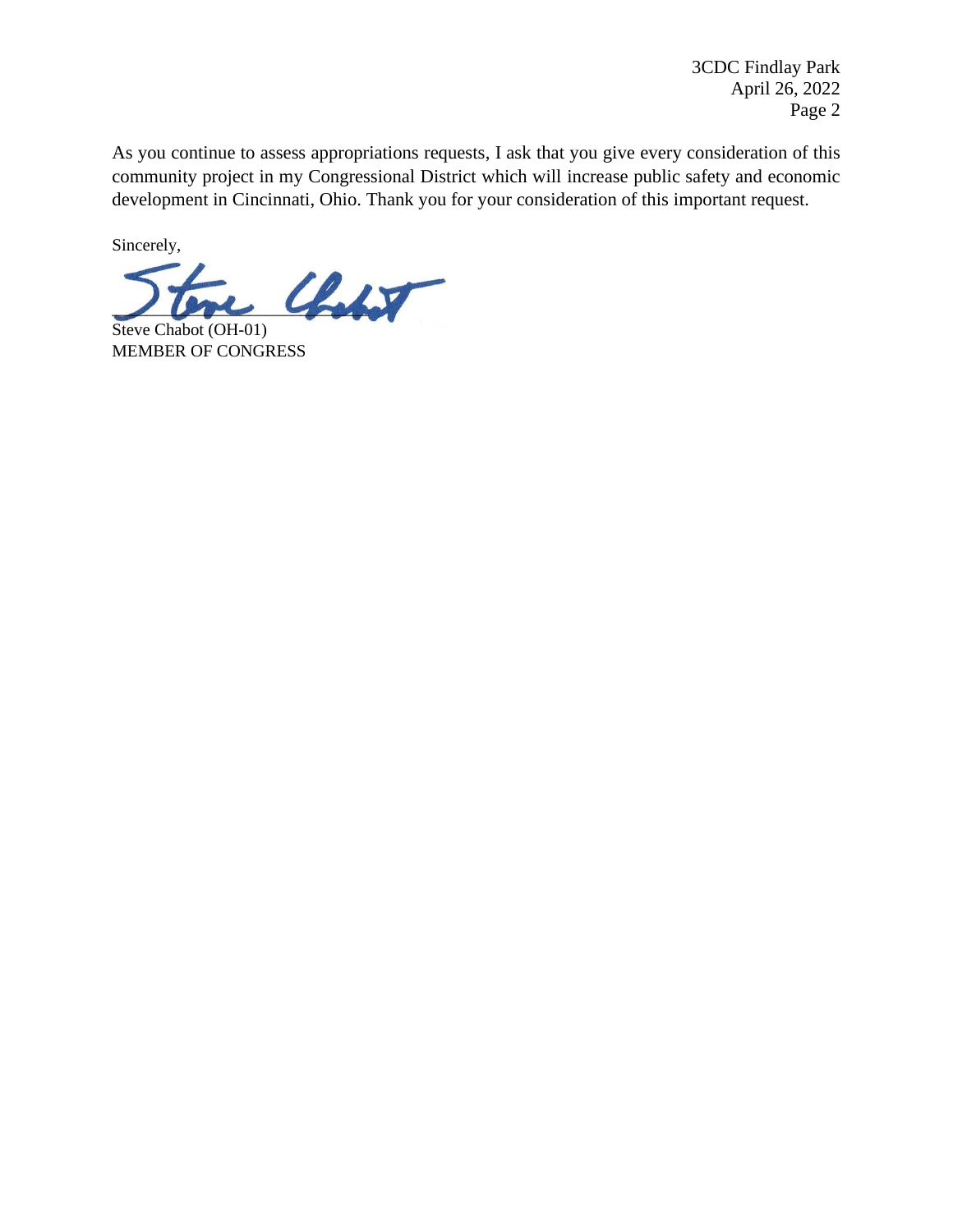3CDC Findlay Park April 26, 2022 Page 2

As you continue to assess appropriations requests, I ask that you give every consideration of this community project in my Congressional District which will increase public safety and economic development in Cincinnati, Ohio. Thank you for your consideration of this important request.

Sincerely,

 $\mathcal{L}_{\text{ob}}$ 

Steve Chabot (OH-01) MEMBER OF CONGRESS